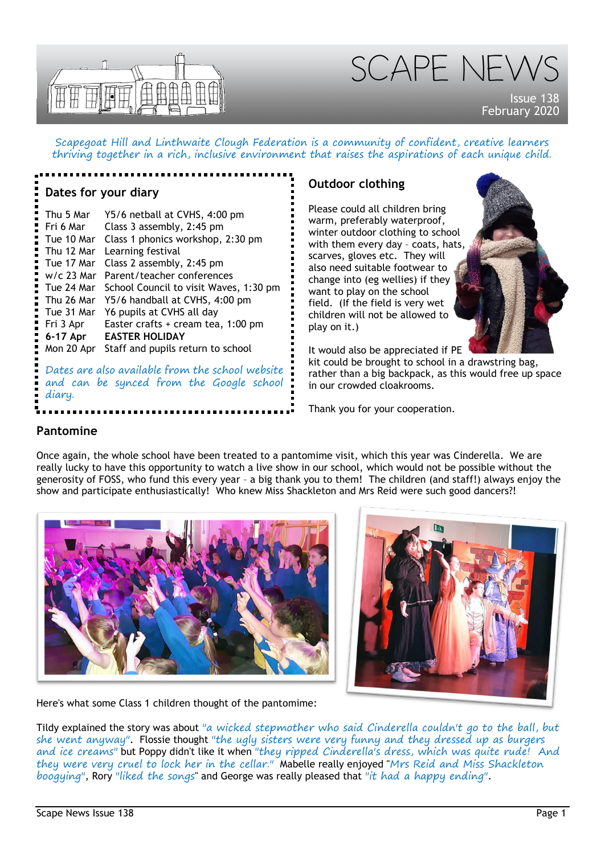

SCAPE NEW

Issue 138 February 2020

Scapegoat Hill and Linthwaite Clough Federation is a community of confident, creative learners thriving together in a rich, inclusive environment that raises the aspirations of each unique child.

#### **Dates for your diary**

Thu 5 Mar Y5/6 netball at CVHS, 4:00 pm Fri 6 Mar Class 3 assembly, 2:45 pm Tue 10 Mar Class 1 phonics workshop, 2:30 pm Thu 12 Mar Learning festival Tue 17 Mar Class 2 assembly, 2:45 pm w/c 23 Mar Parent/teacher conferences Tue 24 Mar School Council to visit Waves, 1:30 pm Thu 26 Mar Y5/6 handball at CVHS, 4:00 pm Tue 31 Mar Y6 pupils at CVHS all day Fri 3 Apr Easter crafts + cream tea, 1:00 pm **6-17 Apr EASTER HOLIDAY** Mon 20 Apr Staff and pupils return to school

Dates are also available from the school website and can be synced from the Google school diary.

# **Outdoor clothing**

Please could all children bring warm, preferably waterproof, winter outdoor clothing to school with them every day – coats, hats, scarves, gloves etc. They will also need suitable footwear to change into (eg wellies) if they want to play on the school field. (If the field is very wet children will not be allowed to play on it.)

It would also be appreciated if PE

kit could be brought to school in a drawstring bag, rather than a big backpack, as this would free up space in our crowded cloakrooms.

Thank you for your cooperation.

#### **Pantomine**

Once again, the whole school have been treated to a pantomime visit, which this year was Cinderella. We are really lucky to have this opportunity to watch a live show in our school, which would not be possible without the generosity of FOSS, who fund this every year – a big thank you to them! The children (and staff!) always enjoy the show and participate enthusiastically! Who knew Miss Shackleton and Mrs Reid were such good dancers?!





Here's what some Class 1 children thought of the pantomime:

Tildy explained the story was about "a wicked stepmother who said Cinderella couldn't go to the ball, but she went anyway". Flossie thought "the ugly sisters were very funny and they dressed up as burgers and ice creams" but Poppy didn't like it when "they ripped Cinderella's dress, which was quite rude! And they were very cruel to lock her in the cellar." Mabelle really enjoyed "Mrs Reid and Miss Shackleton boogying", Rory "liked the songs" and George was really pleased that "it had a happy ending".